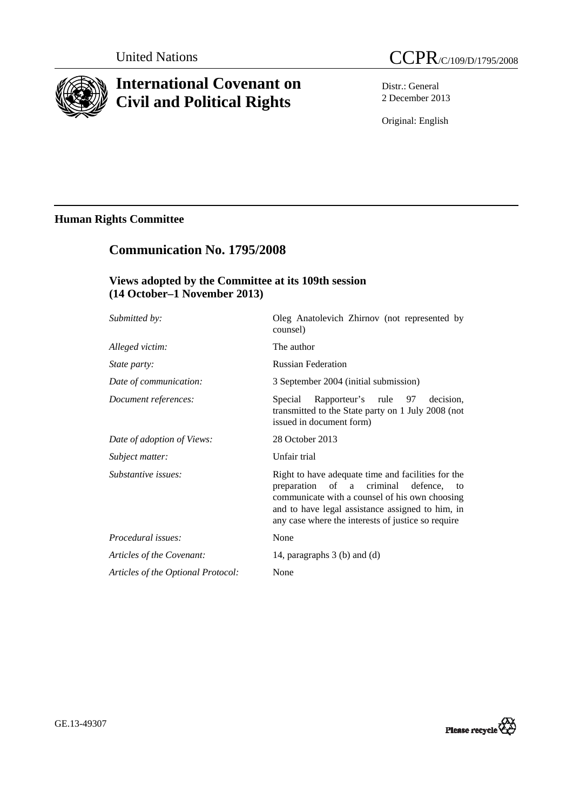

# **International Covenant on Civil and Political Rights**



Distr.: General 2 December 2013

Original: English

# **Human Rights Committee**

# **Communication No. 1795/2008**

## **Views adopted by the Committee at its 109th session (14 October–1 November 2013)**

| Oleg Anatolevich Zhirnov (not represented by<br>counsel)                                                                                                                                                                                                      |
|---------------------------------------------------------------------------------------------------------------------------------------------------------------------------------------------------------------------------------------------------------------|
| The author                                                                                                                                                                                                                                                    |
| <b>Russian Federation</b>                                                                                                                                                                                                                                     |
| 3 September 2004 (initial submission)                                                                                                                                                                                                                         |
| Rapporteur's rule 97<br>Special<br>decision.<br>transmitted to the State party on 1 July 2008 (not<br>issued in document form)                                                                                                                                |
| 28 October 2013                                                                                                                                                                                                                                               |
| Unfair trial                                                                                                                                                                                                                                                  |
| Right to have adequate time and facilities for the<br>preparation of a criminal<br>defence.<br>to<br>communicate with a counsel of his own choosing<br>and to have legal assistance assigned to him, in<br>any case where the interests of justice so require |
| None                                                                                                                                                                                                                                                          |
| 14, paragraphs 3 (b) and (d)                                                                                                                                                                                                                                  |
| None                                                                                                                                                                                                                                                          |
|                                                                                                                                                                                                                                                               |

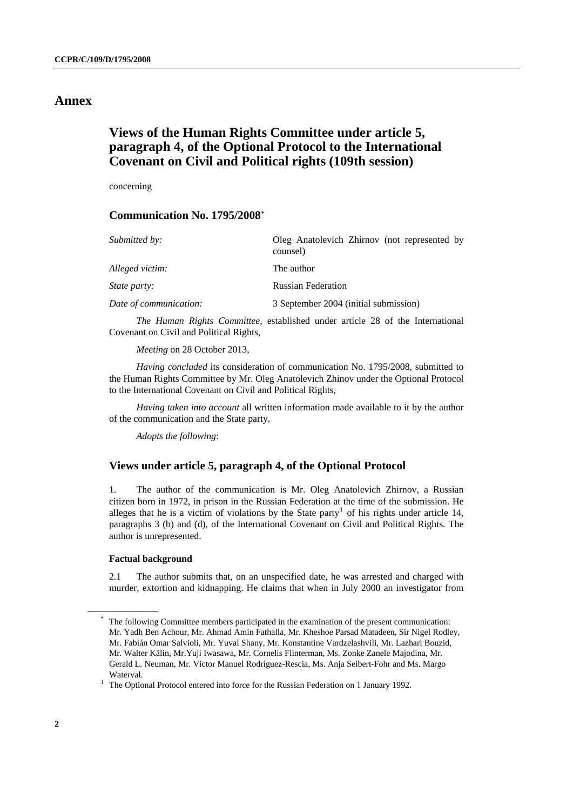### **Annex**

# **Views of the Human Rights Committee under article 5, paragraph 4, of the Optional Protocol to the International Covenant on Civil and Political rights (109th session)**

concerning

### **Communication No. 1795/2008[\\*](#page-1-0)**

| Submitted by:          | Oleg Anatolevich Zhirnov (not represented by<br>counsel) |
|------------------------|----------------------------------------------------------|
| Alleged victim:        | The author                                               |
| <i>State party:</i>    | <b>Russian Federation</b>                                |
| Date of communication: | 3 September 2004 (initial submission)                    |

*The Human Rights Committee*, established under article 28 of the International Covenant on Civil and Political Rights,

*Meeting* on 28 October 2013,

*Having concluded* its consideration of communication No. 1795/2008, submitted to the Human Rights Committee by Mr. Oleg Anatolevich Zhinov under the Optional Protocol to the International Covenant on Civil and Political Rights,

*Having taken into account* all written information made available to it by the author of the communication and the State party,

*Adopts the following*:

### **Views under article 5, paragraph 4, of the Optional Protocol**

1. The author of the communication is Mr. Oleg Anatolevich Zhirnov, a Russian citizen born in 1972, in prison in the Russian Federation at the time of the submission. He alleges that he is a victim of violations by the State party<sup>[1](#page-1-1)</sup> of his rights under article 14, paragraphs 3 (b) and (d), of the International Covenant on Civil and Political Rights. The author is unrepresented.

#### **Factual background**

2.1 The author submits that, on an unspecified date, he was arrested and charged with murder, extortion and kidnapping. He claims that when in July 2000 an investigator from

<span id="page-1-0"></span>The following Committee members participated in the examination of the present communication: Mr. Yadh Ben Achour, Mr. Ahmad Amin Fathalla, Mr. Kheshoe Parsad Matadeen, Sir Nigel Rodley, Mr. Fabián Omar Salvioli, Mr. Yuval Shany, Mr. Konstantine Vardzelashvili, Mr. Lazhari Bouzid, Mr. Walter Kälin, Mr.Yuji Iwasawa, Mr. Cornelis Flinterman, Ms. Zonke Zanele Majodina, Mr. Gerald L. Neuman, Mr. Victor Manuel Rodríguez-Rescia, Ms. Anja Seibert-Fohr and Ms. Margo

<span id="page-1-1"></span>Waterval.<br><sup>1</sup> The Optional Protocol entered into force for the Russian Federation on 1 January 1992.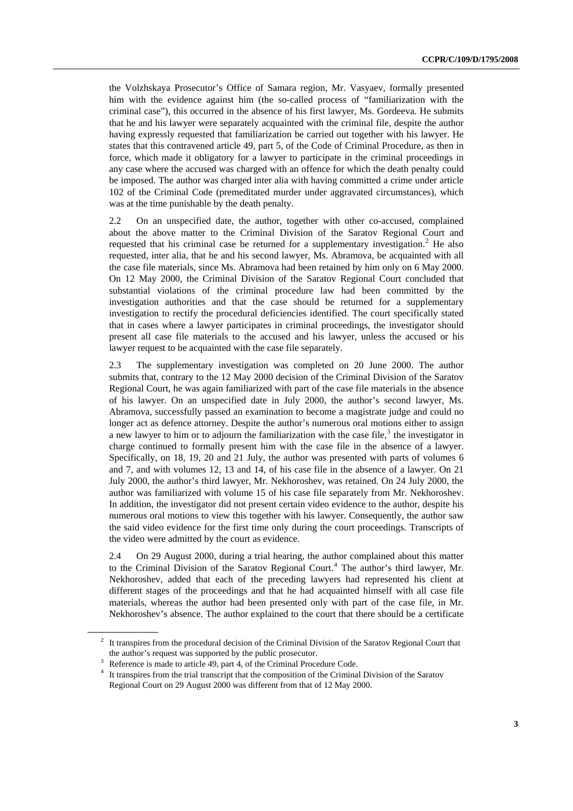the Volzhskaya Prosecutor's Office of Samara region, Mr. Vasyaev, formally presented him with the evidence against him (the so-called process of "familiarization with the criminal case"), this occurred in the absence of his first lawyer, Ms. Gordeeva. He submits that he and his lawyer were separately acquainted with the criminal file, despite the author having expressly requested that familiarization be carried out together with his lawyer. He states that this contravened article 49, part 5, of the Code of Criminal Procedure, as then in force, which made it obligatory for a lawyer to participate in the criminal proceedings in any case where the accused was charged with an offence for which the death penalty could be imposed. The author was charged inter alia with having committed a crime under article 102 of the Criminal Code (premeditated murder under aggravated circumstances), which was at the time punishable by the death penalty.

2.2 On an unspecified date, the author, together with other co-accused, complained about the above matter to the Criminal Division of the Saratov Regional Court and requested that his criminal case be returned for a supplementary investigation.<sup>[2](#page-2-0)</sup> He also requested, inter alia, that he and his second lawyer, Ms. Abramova, be acquainted with all the case file materials, since Ms. Abramova had been retained by him only on 6 May 2000. On 12 May 2000, the Criminal Division of the Saratov Regional Court concluded that substantial violations of the criminal procedure law had been committed by the investigation authorities and that the case should be returned for a supplementary investigation to rectify the procedural deficiencies identified. The court specifically stated that in cases where a lawyer participates in criminal proceedings, the investigator should present all case file materials to the accused and his lawyer, unless the accused or his lawyer request to be acquainted with the case file separately.

2.3 The supplementary investigation was completed on 20 June 2000. The author submits that, contrary to the 12 May 2000 decision of the Criminal Division of the Saratov Regional Court, he was again familiarized with part of the case file materials in the absence of his lawyer. On an unspecified date in July 2000, the author's second lawyer, Ms. Abramova, successfully passed an examination to become a magistrate judge and could no longer act as defence attorney. Despite the author's numerous oral motions either to assign a new lawyer to him or to adjourn the familiarization with the case file, $3$  the investigator in charge continued to formally present him with the case file in the absence of a lawyer. Specifically, on 18, 19, 20 and 21 July, the author was presented with parts of volumes 6 and 7, and with volumes 12, 13 and 14, of his case file in the absence of a lawyer. On 21 July 2000, the author's third lawyer, Mr. Nekhoroshev, was retained. On 24 July 2000, the author was familiarized with volume 15 of his case file separately from Mr. Nekhoroshev. In addition, the investigator did not present certain video evidence to the author, despite his numerous oral motions to view this together with his lawyer. Consequently, the author saw the said video evidence for the first time only during the court proceedings. Transcripts of the video were admitted by the court as evidence.

2.4 On 29 August 2000, during a trial hearing, the author complained about this matter to the Criminal Division of the Saratov Regional Court.<sup>[4](#page-2-2)</sup> The author's third lawyer, Mr. Nekhoroshev, added that each of the preceding lawyers had represented his client at different stages of the proceedings and that he had acquainted himself with all case file materials, whereas the author had been presented only with part of the case file, in Mr. Nekhoroshev's absence. The author explained to the court that there should be a certificate

<span id="page-2-0"></span> $2<sup>2</sup>$  It transpires from the procedural decision of the Criminal Division of the Saratov Regional Court that the author's request was supported by the public prosecutor.<br> $3 \cdot$  Beforence is mode to erticle 40, pert 4, of the Criminal Broce

<span id="page-2-1"></span><sup>&</sup>lt;sup>3</sup> Reference is made to article 49, part 4, of the Criminal Procedure Code.<br><sup>4</sup> It transmises from the trial transmit that the composition of the Criminal

<span id="page-2-2"></span><sup>&</sup>lt;sup>4</sup> It transpires from the trial transcript that the composition of the Criminal Division of the Saratov Regional Court on 29 August 2000 was different from that of 12 May 2000.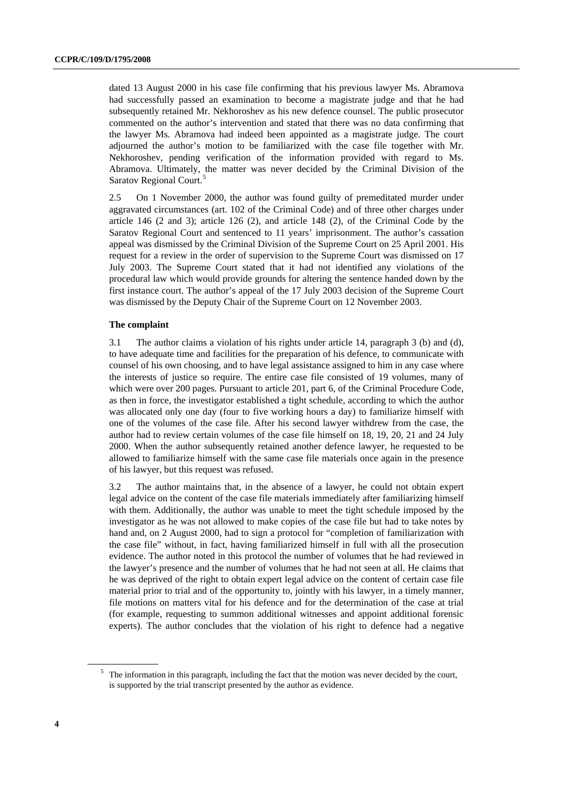dated 13 August 2000 in his case file confirming that his previous lawyer Ms. Abramova had successfully passed an examination to become a magistrate judge and that he had subsequently retained Mr. Nekhoroshev as his new defence counsel. The public prosecutor commented on the author's intervention and stated that there was no data confirming that the lawyer Ms. Abramova had indeed been appointed as a magistrate judge. The court adjourned the author's motion to be familiarized with the case file together with Mr. Nekhoroshev, pending verification of the information provided with regard to Ms. Abramova. Ultimately, the matter was never decided by the Criminal Division of the Saratov Regional Court.<sup>[5](#page-3-0)</sup>

2.5 On 1 November 2000, the author was found guilty of premeditated murder under aggravated circumstances (art. 102 of the Criminal Code) and of three other charges under article 146 (2 and 3); article 126 (2), and article 148 (2), of the Criminal Code by the Saratov Regional Court and sentenced to 11 years' imprisonment. The author's cassation appeal was dismissed by the Criminal Division of the Supreme Court on 25 April 2001. His request for a review in the order of supervision to the Supreme Court was dismissed on 17 July 2003. The Supreme Court stated that it had not identified any violations of the procedural law which would provide grounds for altering the sentence handed down by the first instance court. The author's appeal of the 17 July 2003 decision of the Supreme Court was dismissed by the Deputy Chair of the Supreme Court on 12 November 2003.

#### **The complaint**

3.1 The author claims a violation of his rights under article 14, paragraph 3 (b) and (d), to have adequate time and facilities for the preparation of his defence, to communicate with counsel of his own choosing, and to have legal assistance assigned to him in any case where the interests of justice so require. The entire case file consisted of 19 volumes, many of which were over 200 pages. Pursuant to article 201, part 6, of the Criminal Procedure Code, as then in force, the investigator established a tight schedule, according to which the author was allocated only one day (four to five working hours a day) to familiarize himself with one of the volumes of the case file. After his second lawyer withdrew from the case, the author had to review certain volumes of the case file himself on 18, 19, 20, 21 and 24 July 2000. When the author subsequently retained another defence lawyer, he requested to be allowed to familiarize himself with the same case file materials once again in the presence of his lawyer, but this request was refused.

3.2 The author maintains that, in the absence of a lawyer, he could not obtain expert legal advice on the content of the case file materials immediately after familiarizing himself with them. Additionally, the author was unable to meet the tight schedule imposed by the investigator as he was not allowed to make copies of the case file but had to take notes by hand and, on 2 August 2000, had to sign a protocol for "completion of familiarization with the case file" without, in fact, having familiarized himself in full with all the prosecution evidence. The author noted in this protocol the number of volumes that he had reviewed in the lawyer's presence and the number of volumes that he had not seen at all. He claims that he was deprived of the right to obtain expert legal advice on the content of certain case file material prior to trial and of the opportunity to, jointly with his lawyer, in a timely manner, file motions on matters vital for his defence and for the determination of the case at trial (for example, requesting to summon additional witnesses and appoint additional forensic experts). The author concludes that the violation of his right to defence had a negative

<span id="page-3-0"></span> $5$  The information in this paragraph, including the fact that the motion was never decided by the court, is supported by the trial transcript presented by the author as evidence.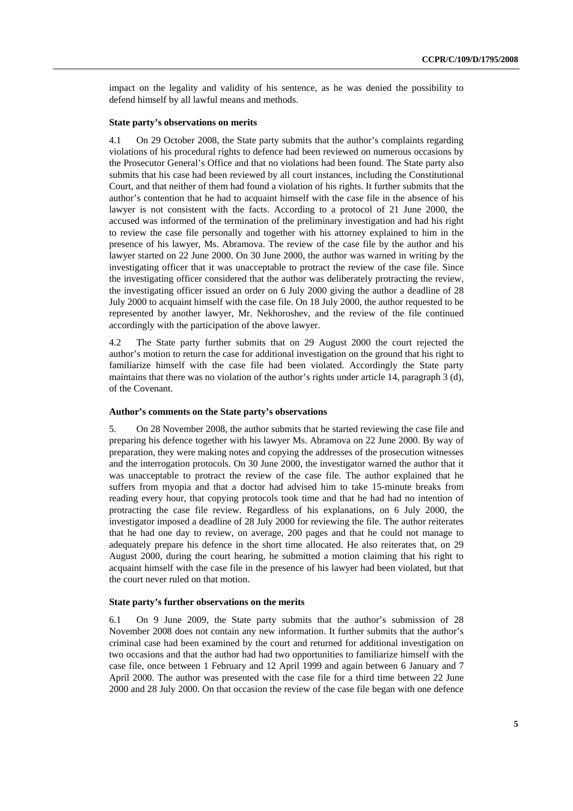impact on the legality and validity of his sentence, as he was denied the possibility to defend himself by all lawful means and methods.

#### **State party's observations on merits**

4.1 On 29 October 2008, the State party submits that the author's complaints regarding violations of his procedural rights to defence had been reviewed on numerous occasions by the Prosecutor General's Office and that no violations had been found. The State party also submits that his case had been reviewed by all court instances, including the Constitutional Court, and that neither of them had found a violation of his rights. It further submits that the author's contention that he had to acquaint himself with the case file in the absence of his lawyer is not consistent with the facts. According to a protocol of 21 June 2000, the accused was informed of the termination of the preliminary investigation and had his right to review the case file personally and together with his attorney explained to him in the presence of his lawyer, Ms. Abramova. The review of the case file by the author and his lawyer started on 22 June 2000. On 30 June 2000, the author was warned in writing by the investigating officer that it was unacceptable to protract the review of the case file. Since the investigating officer considered that the author was deliberately protracting the review, the investigating officer issued an order on 6 July 2000 giving the author a deadline of 28 July 2000 to acquaint himself with the case file. On 18 July 2000, the author requested to be represented by another lawyer, Mr. Nekhoroshev, and the review of the file continued accordingly with the participation of the above lawyer.

4.2 The State party further submits that on 29 August 2000 the court rejected the author's motion to return the case for additional investigation on the ground that his right to familiarize himself with the case file had been violated. Accordingly the State party maintains that there was no violation of the author's rights under article 14, paragraph 3 (d), of the Covenant.

#### **Author's comments on the State party's observations**

5. On 28 November 2008, the author submits that he started reviewing the case file and preparing his defence together with his lawyer Ms. Abramova on 22 June 2000. By way of preparation, they were making notes and copying the addresses of the prosecution witnesses and the interrogation protocols. On 30 June 2000, the investigator warned the author that it was unacceptable to protract the review of the case file. The author explained that he suffers from myopia and that a doctor had advised him to take 15-minute breaks from reading every hour, that copying protocols took time and that he had had no intention of protracting the case file review. Regardless of his explanations, on 6 July 2000, the investigator imposed a deadline of 28 July 2000 for reviewing the file. The author reiterates that he had one day to review, on average, 200 pages and that he could not manage to adequately prepare his defence in the short time allocated. He also reiterates that, on 29 August 2000, during the court hearing, he submitted a motion claiming that his right to acquaint himself with the case file in the presence of his lawyer had been violated, but that the court never ruled on that motion.

#### **State party's further observations on the merits**

6.1 On 9 June 2009, the State party submits that the author's submission of 28 November 2008 does not contain any new information. It further submits that the author's criminal case had been examined by the court and returned for additional investigation on two occasions and that the author had had two opportunities to familiarize himself with the case file, once between 1 February and 12 April 1999 and again between 6 January and 7 April 2000. The author was presented with the case file for a third time between 22 June 2000 and 28 July 2000. On that occasion the review of the case file began with one defence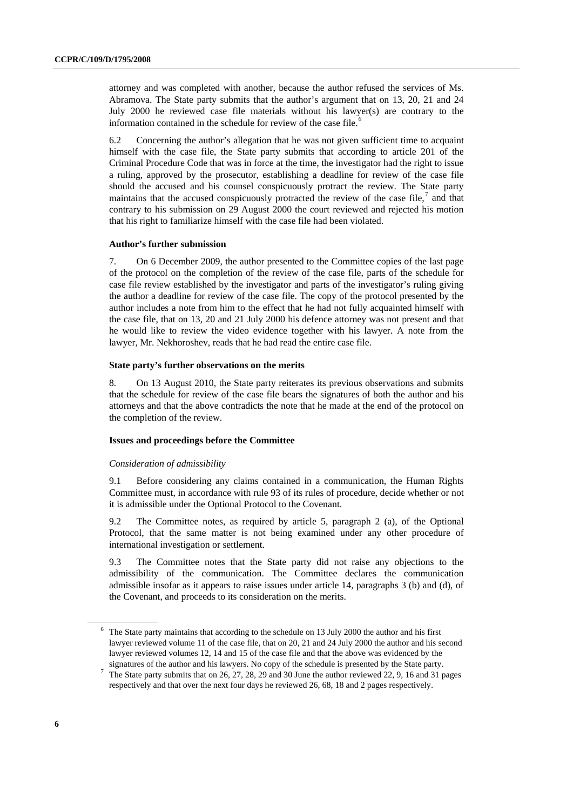attorney and was completed with another, because the author refused the services of Ms. Abramova. The State party submits that the author's argument that on 13, 20, 21 and 24 July 2000 he reviewed case file materials without his lawyer(s) are contrary to the information contained in the schedule for review of the case file.<sup>[6](#page-5-0)</sup>

6.2 Concerning the author's allegation that he was not given sufficient time to acquaint himself with the case file, the State party submits that according to article 201 of the Criminal Procedure Code that was in force at the time, the investigator had the right to issue a ruling, approved by the prosecutor, establishing a deadline for review of the case file should the accused and his counsel conspicuously protract the review. The State party maintains that the accused conspicuously protracted the review of the case file, $<sup>7</sup>$  $<sup>7</sup>$  $<sup>7</sup>$  and that</sup> contrary to his submission on 29 August 2000 the court reviewed and rejected his motion that his right to familiarize himself with the case file had been violated.

#### **Author's further submission**

7. On 6 December 2009, the author presented to the Committee copies of the last page of the protocol on the completion of the review of the case file, parts of the schedule for case file review established by the investigator and parts of the investigator's ruling giving the author a deadline for review of the case file. The copy of the protocol presented by the author includes a note from him to the effect that he had not fully acquainted himself with the case file, that on 13, 20 and 21 July 2000 his defence attorney was not present and that he would like to review the video evidence together with his lawyer. A note from the lawyer, Mr. Nekhoroshev, reads that he had read the entire case file.

#### **State party's further observations on the merits**

8. On 13 August 2010, the State party reiterates its previous observations and submits that the schedule for review of the case file bears the signatures of both the author and his attorneys and that the above contradicts the note that he made at the end of the protocol on the completion of the review.

#### **Issues and proceedings before the Committee**

#### *Consideration of admissibility*

9.1 Before considering any claims contained in a communication, the Human Rights Committee must, in accordance with rule 93 of its rules of procedure, decide whether or not it is admissible under the Optional Protocol to the Covenant.

9.2 The Committee notes, as required by article 5, paragraph 2 (a), of the Optional Protocol, that the same matter is not being examined under any other procedure of international investigation or settlement.

9.3 The Committee notes that the State party did not raise any objections to the admissibility of the communication. The Committee declares the communication admissible insofar as it appears to raise issues under article 14, paragraphs 3 (b) and (d), of the Covenant, and proceeds to its consideration on the merits.

<span id="page-5-0"></span> $6$  The State party maintains that according to the schedule on 13 July 2000 the author and his first lawyer reviewed volume 11 of the case file, that on 20, 21 and 24 July 2000 the author and his second lawyer reviewed volumes 12, 14 and 15 of the case file and that the above was evidenced by the

<span id="page-5-1"></span>signatures of the author and his lawyers. No copy of the schedule is presented by the State party.<br><sup>7</sup> The State party submits that on 26, 27, 28, 29 and 30 June the author reviewed 22, 9, 16 and 31 r The State party submits that on 26, 27, 28, 29 and 30 June the author reviewed 22, 9, 16 and 31 pages respectively and that over the next four days he reviewed 26, 68, 18 and 2 pages respectively.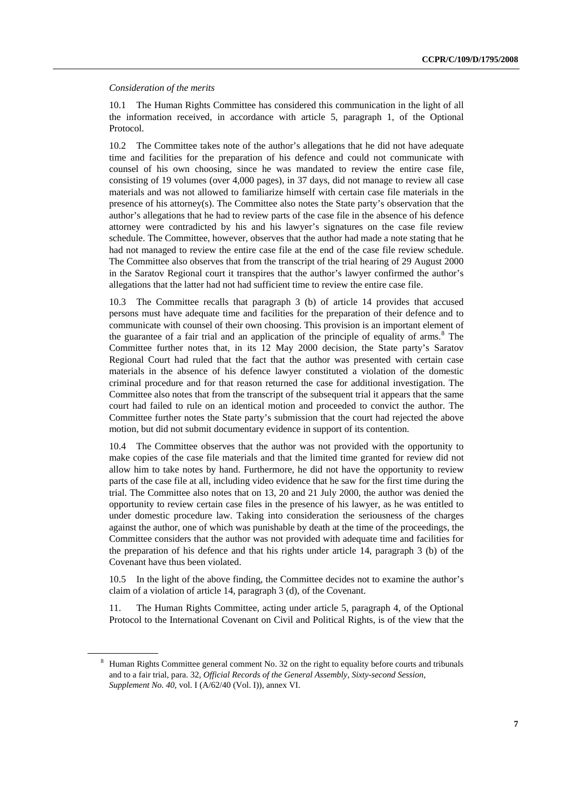#### *Consideration of the merits*

10.1 The Human Rights Committee has considered this communication in the light of all the information received, in accordance with article 5, paragraph 1, of the Optional Protocol.

10.2 The Committee takes note of the author's allegations that he did not have adequate time and facilities for the preparation of his defence and could not communicate with counsel of his own choosing, since he was mandated to review the entire case file, consisting of 19 volumes (over 4,000 pages), in 37 days, did not manage to review all case materials and was not allowed to familiarize himself with certain case file materials in the presence of his attorney(s). The Committee also notes the State party's observation that the author's allegations that he had to review parts of the case file in the absence of his defence attorney were contradicted by his and his lawyer's signatures on the case file review schedule. The Committee, however, observes that the author had made a note stating that he had not managed to review the entire case file at the end of the case file review schedule. The Committee also observes that from the transcript of the trial hearing of 29 August 2000 in the Saratov Regional court it transpires that the author's lawyer confirmed the author's allegations that the latter had not had sufficient time to review the entire case file.

10.3 The Committee recalls that paragraph 3 (b) of article 14 provides that accused persons must have adequate time and facilities for the preparation of their defence and to communicate with counsel of their own choosing. This provision is an important element of the guarantee of a fair trial and an application of the principle of equality of  $a$ rms.<sup>[8](#page-6-0)</sup> The Committee further notes that, in its 12 May 2000 decision, the State party's Saratov Regional Court had ruled that the fact that the author was presented with certain case materials in the absence of his defence lawyer constituted a violation of the domestic criminal procedure and for that reason returned the case for additional investigation. The Committee also notes that from the transcript of the subsequent trial it appears that the same court had failed to rule on an identical motion and proceeded to convict the author. The Committee further notes the State party's submission that the court had rejected the above motion, but did not submit documentary evidence in support of its contention.

10.4 The Committee observes that the author was not provided with the opportunity to make copies of the case file materials and that the limited time granted for review did not allow him to take notes by hand. Furthermore, he did not have the opportunity to review parts of the case file at all, including video evidence that he saw for the first time during the trial. The Committee also notes that on 13, 20 and 21 July 2000, the author was denied the opportunity to review certain case files in the presence of his lawyer, as he was entitled to under domestic procedure law. Taking into consideration the seriousness of the charges against the author, one of which was punishable by death at the time of the proceedings, the Committee considers that the author was not provided with adequate time and facilities for the preparation of his defence and that his rights under article 14, paragraph 3 (b) of the Covenant have thus been violated.

10.5 In the light of the above finding, the Committee decides not to examine the author's claim of a violation of article 14, paragraph 3 (d), of the Covenant.

11. The Human Rights Committee, acting under article 5, paragraph 4, of the Optional Protocol to the International Covenant on Civil and Political Rights, is of the view that the

<span id="page-6-0"></span><sup>&</sup>lt;sup>8</sup> Human Rights Committee general comment No. 32 on the right to equality before courts and tribunals and to a fair trial, para. 32, *Official Records of the General Assembly, Sixty-second Session, Supplement No. 40,* vol. I (A/62/40 (Vol. I)), annex VI.